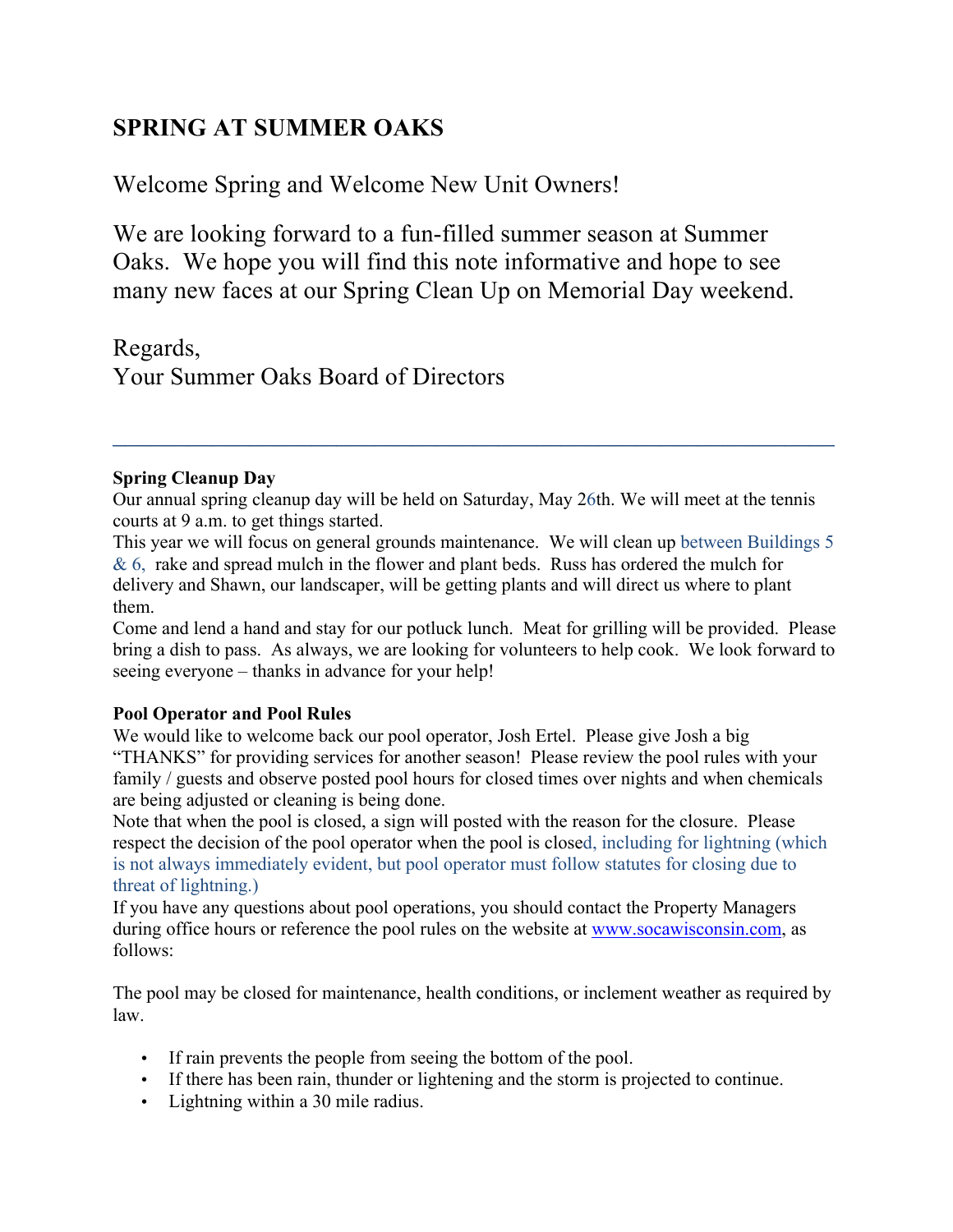# **SPRING AT SUMMER OAKS**

Welcome Spring and Welcome New Unit Owners!

We are looking forward to a fun-filled summer season at Summer Oaks. We hope you will find this note informative and hope to see many new faces at our Spring Clean Up on Memorial Day weekend.

Regards, Your Summer Oaks Board of Directors

## **Spring Cleanup Day**

Our annual spring cleanup day will be held on Saturday, May 26th. We will meet at the tennis courts at 9 a.m. to get things started.

 $\mathcal{L}_\text{max}$  and  $\mathcal{L}_\text{max}$  and  $\mathcal{L}_\text{max}$  and  $\mathcal{L}_\text{max}$  and  $\mathcal{L}_\text{max}$  and  $\mathcal{L}_\text{max}$ 

This year we will focus on general grounds maintenance. We will clean up between Buildings 5  $& 6$ , rake and spread mulch in the flower and plant beds. Russ has ordered the mulch for delivery and Shawn, our landscaper, will be getting plants and will direct us where to plant them.

Come and lend a hand and stay for our potluck lunch. Meat for grilling will be provided. Please bring a dish to pass. As always, we are looking for volunteers to help cook. We look forward to seeing everyone – thanks in advance for your help!

# **Pool Operator and Pool Rules**

We would like to welcome back our pool operator, Josh Ertel. Please give Josh a big "THANKS" for providing services for another season! Please review the pool rules with your family / guests and observe posted pool hours for closed times over nights and when chemicals are being adjusted or cleaning is being done.

Note that when the pool is closed, a sign will posted with the reason for the closure. Please respect the decision of the pool operator when the pool is closed, including for lightning (which is not always immediately evident, but pool operator must follow statutes for closing due to threat of lightning.)

If you have any questions about pool operations, you should contact the Property Managers during office hours or reference the pool rules on the website at www.socawisconsin.com, as follows:

The pool may be closed for maintenance, health conditions, or inclement weather as required by law.

- If rain prevents the people from seeing the bottom of the pool.
- If there has been rain, thunder or lightening and the storm is projected to continue.
- Lightning within a 30 mile radius.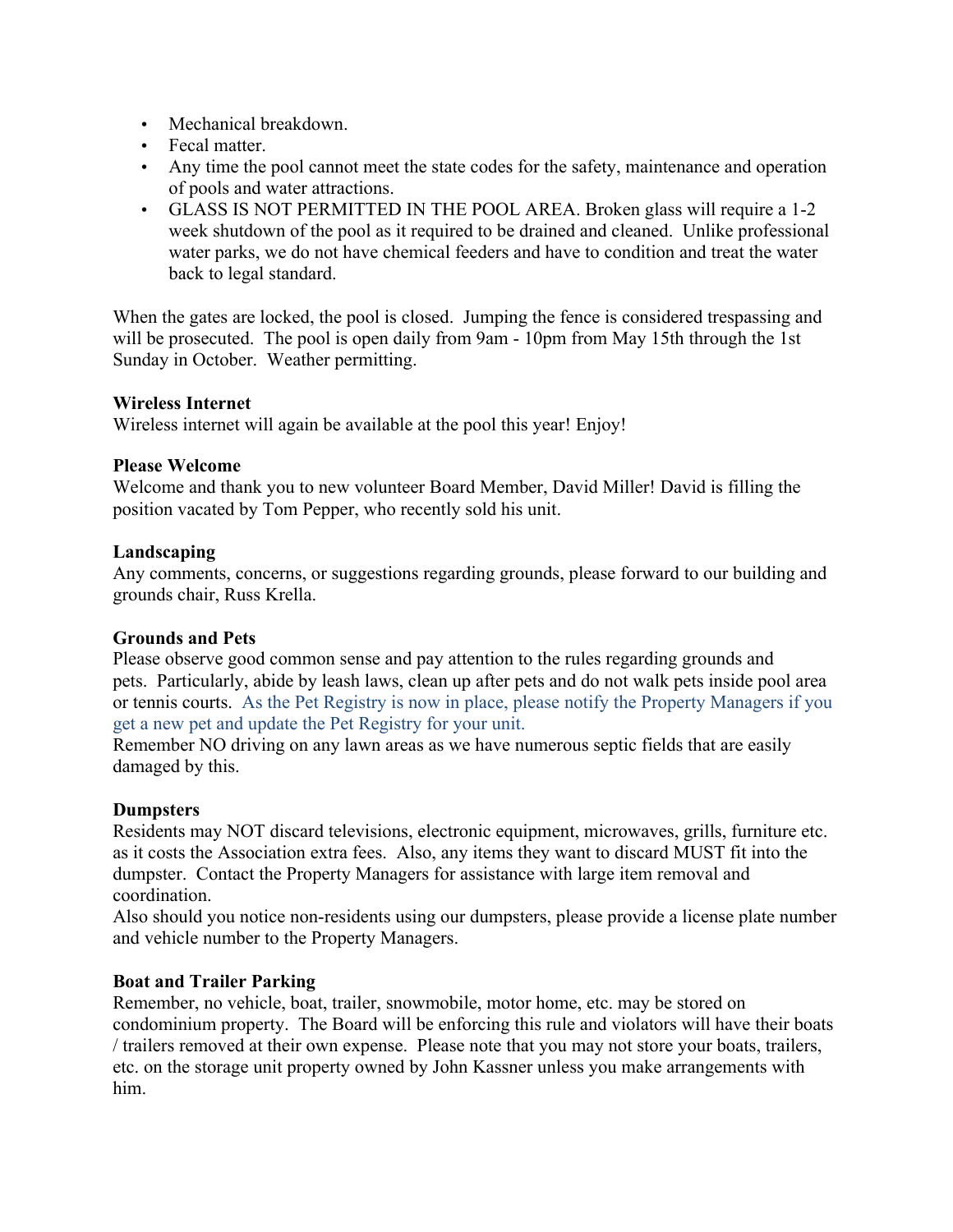- Mechanical breakdown
- Fecal matter.
- Any time the pool cannot meet the state codes for the safety, maintenance and operation of pools and water attractions.
- GLASS IS NOT PERMITTED IN THE POOL AREA. Broken glass will require a 1-2 week shutdown of the pool as it required to be drained and cleaned. Unlike professional water parks, we do not have chemical feeders and have to condition and treat the water back to legal standard.

When the gates are locked, the pool is closed. Jumping the fence is considered trespassing and will be prosecuted. The pool is open daily from 9am - 10pm from May 15th through the 1st Sunday in October. Weather permitting.

## **Wireless Internet**

Wireless internet will again be available at the pool this year! Enjoy!

### **Please Welcome**

Welcome and thank you to new volunteer Board Member, David Miller! David is filling the position vacated by Tom Pepper, who recently sold his unit.

## **Landscaping**

Any comments, concerns, or suggestions regarding grounds, please forward to our building and grounds chair, Russ Krella.

# **Grounds and Pets**

Please observe good common sense and pay attention to the rules regarding grounds and pets. Particularly, abide by leash laws, clean up after pets and do not walk pets inside pool area or tennis courts. As the Pet Registry is now in place, please notify the Property Managers if you get a new pet and update the Pet Registry for your unit.

Remember NO driving on any lawn areas as we have numerous septic fields that are easily damaged by this.

# **Dumpsters**

Residents may NOT discard televisions, electronic equipment, microwaves, grills, furniture etc. as it costs the Association extra fees. Also, any items they want to discard MUST fit into the dumpster. Contact the Property Managers for assistance with large item removal and coordination.

Also should you notice non-residents using our dumpsters, please provide a license plate number and vehicle number to the Property Managers.

### **Boat and Trailer Parking**

Remember, no vehicle, boat, trailer, snowmobile, motor home, etc. may be stored on condominium property. The Board will be enforcing this rule and violators will have their boats / trailers removed at their own expense. Please note that you may not store your boats, trailers, etc. on the storage unit property owned by John Kassner unless you make arrangements with him.